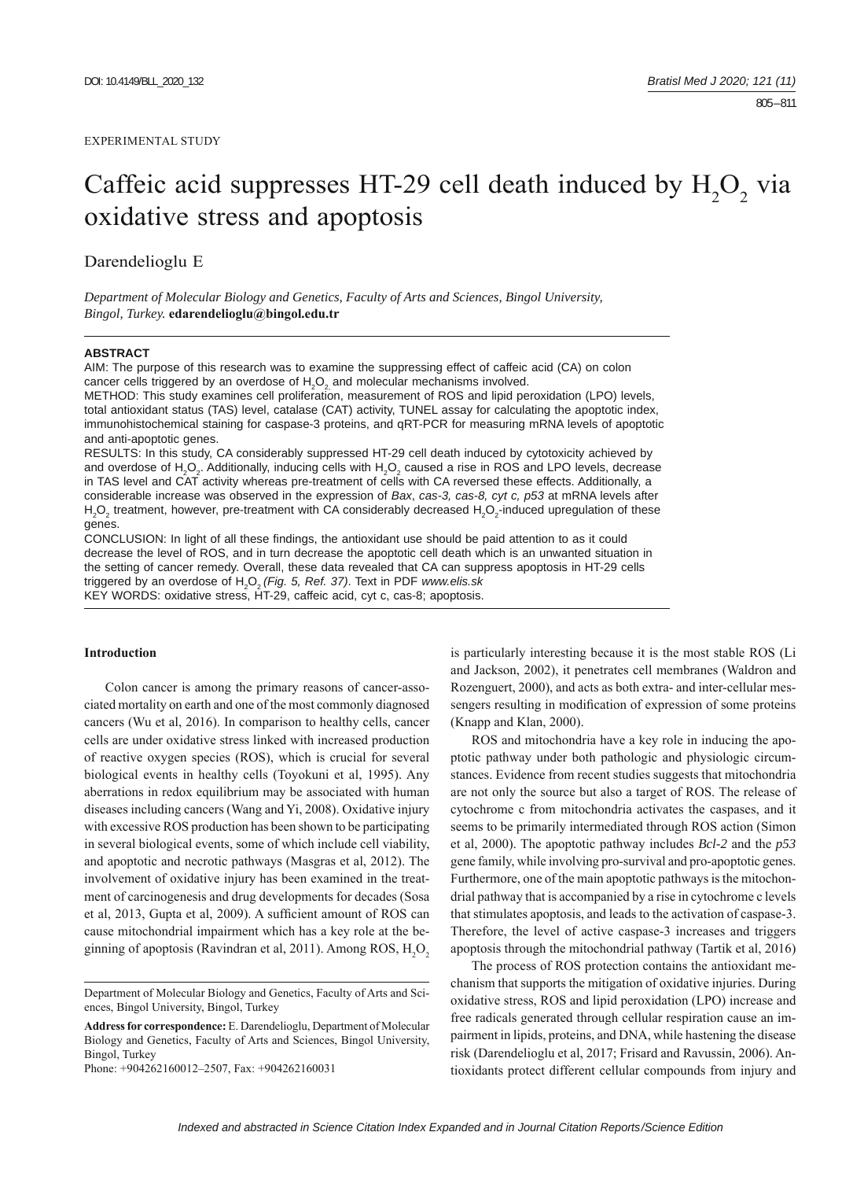#### EXPERIMENTAL STUDY

# Caffeic acid suppresses HT-29 cell death induced by  $H_2O_2$  via oxidative stress and apoptosis

Darendelioglu E

*Department of Molecular Biology and Genetics, Faculty of Arts and Sciences, Bingol University, Bingol, Turkey.* **edarendelioglu@bingol.edu.tr**

#### **ABSTRACT**

AIM: The purpose of this research was to examine the suppressing effect of caffeic acid (CA) on colon cancer cells triggered by an overdose of  $H_2O_2$  and molecular mechanisms involved.

METHOD: This study examines cell proliferation, measurement of ROS and lipid peroxidation (LPO) levels, total antioxidant status (TAS) level, catalase (CAT) activity, TUNEL assay for calculating the apoptotic index, immunohistochemical staining for caspase-3 proteins, and qRT-PCR for measuring mRNA levels of apoptotic and anti-apoptotic genes.

RESULTS: In this study, CA considerably suppressed HT-29 cell death induced by cytotoxicity achieved by and overdose of H<sub>2</sub>O<sub>2</sub>. Additionally, inducing cells with H<sub>2</sub>O<sub>2</sub> caused a rise in ROS and LPO levels, decrease in TAS level and CAT activity whereas pre-treatment of cells with CA reversed these effects. Additionally, a considerable increase was observed in the expression of *Bax*, *cas-3, cas-8, cyt c, p53* at mRNA levels after  $H_2O_2$  treatment, however, pre-treatment with CA considerably decreased  $H_2O_2$ -induced upregulation of these genes.

CONCLUSION: In light of all these findings, the antioxidant use should be paid attention to as it could decrease the level of ROS, and in turn decrease the apoptotic cell death which is an unwanted situation in the setting of cancer remedy. Overall, these data revealed that CA can suppress apoptosis in HT-29 cells triggered by an overdose of H2 O2 *(Fig. 5, Ref. 37)*. Text in PDF *www.elis.sk* KEY WORDS: oxidative stress, HT-29, caffeic acid, cyt c, cas-8; apoptosis.

## **Introduction**

Colon cancer is among the primary reasons of cancer-associated mortality on earth and one of the most commonly diagnosed cancers (Wu et al, 2016). In comparison to healthy cells, cancer cells are under oxidative stress linked with increased production of reactive oxygen species (ROS), which is crucial for several biological events in healthy cells (Toyokuni et al, 1995). Any aberrations in redox equilibrium may be associated with human diseases including cancers (Wang and Yi, 2008). Oxidative injury with excessive ROS production has been shown to be participating in several biological events, some of which include cell viability, and apoptotic and necrotic pathways (Masgras et al, 2012). The involvement of oxidative injury has been examined in the treatment of carcinogenesis and drug developments for decades (Sosa et al, 2013, Gupta et al, 2009). A sufficient amount of ROS can cause mitochondrial impairment which has a key role at the beginning of apoptosis (Ravindran et al, 2011). Among ROS,  $H_2O_2$ 

Phone: +904262160012–2507, Fax: +904262160031

is particularly interesting because it is the most stable ROS (Li and Jackson, 2002), it penetrates cell membranes (Waldron and Rozenguert, 2000), and acts as both extra- and inter-cellular messengers resulting in modification of expression of some proteins (Knapp and Klan, 2000).

ROS and mitochondria have a key role in inducing the apoptotic pathway under both pathologic and physiologic circumstances. Evidence from recent studies suggests that mitochondria are not only the source but also a target of ROS. The release of cytochrome c from mitochondria activates the caspases, and it seems to be primarily intermediated through ROS action (Simon et al, 2000). The apoptotic pathway includes *Bcl-2* and the *p53* gene family, while involving pro-survival and pro-apoptotic genes. Furthermore, one of the main apoptotic pathways is the mitochondrial pathway that is accompanied by a rise in cytochrome c levels that stimulates apoptosis, and leads to the activation of caspase-3. Therefore, the level of active caspase-3 increases and triggers apoptosis through the mitochondrial pathway (Tartik et al, 2016)

The process of ROS protection contains the antioxidant mechanism that supports the mitigation of oxidative injuries. During oxidative stress, ROS and lipid peroxidation (LPO) increase and free radicals generated through cellular respiration cause an impairment in lipids, proteins, and DNA, while hastening the disease risk (Darendelioglu et al, 2017; Frisard and Ravussin, 2006). Antioxidants protect different cellular compounds from injury and

Department of Molecular Biology and Genetics, Faculty of Arts and Sciences, Bingol University, Bingol, Turkey

**Address for correspondence:** E. Darendelioglu, Department of Molecular Biology and Genetics, Faculty of Arts and Sciences, Bingol University, Bingol, Turkey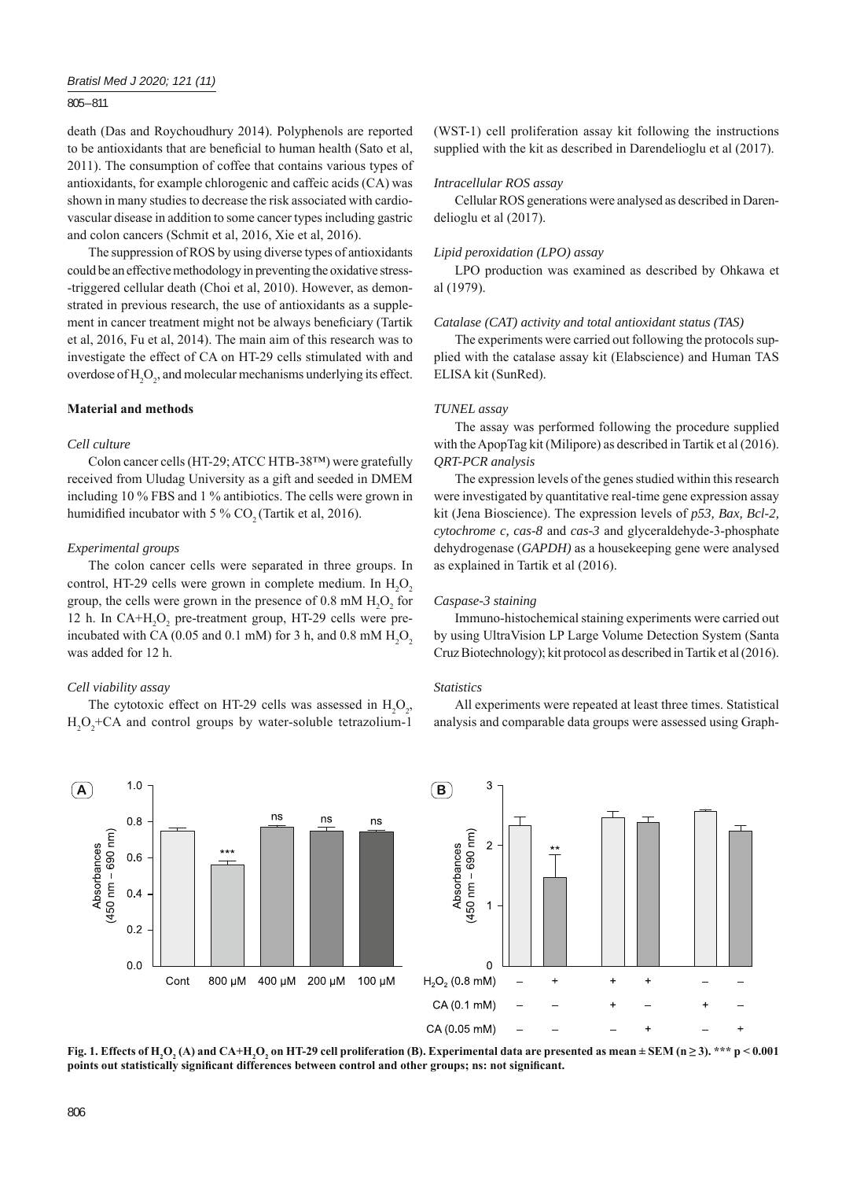# 805 – 811

death (Das and Roychoudhury 2014). Polyphenols are reported to be antioxidants that are beneficial to human health (Sato et al, 2011). The consumption of coffee that contains various types of antioxidants, for example chlorogenic and caffeic acids (CA) was shown in many studies to decrease the risk associated with cardiovascular disease in addition to some cancer types including gastric and colon cancers (Schmit et al, 2016, Xie et al, 2016).

The suppression of ROS by using diverse types of antioxidants could be an effective methodology in preventing the oxidative stress- -triggered cellular death (Choi et al, 2010). However, as demonstrated in previous research, the use of antioxidants as a supplement in cancer treatment might not be always beneficiary (Tartik et al, 2016, Fu et al, 2014). The main aim of this research was to investigate the effect of CA on HT-29 cells stimulated with and overdose of  $H_2O_2$ , and molecular mechanisms underlying its effect.

# **Material and methods**

## *Cell culture*

Colon cancer cells (HT-29; ATCC HTB-38™) were gratefully received from Uludag University as a gift and seeded in DMEM including 10 % FBS and 1 % antibiotics. The cells were grown in humidified incubator with 5 %  $CO<sub>2</sub>$  (Tartik et al, 2016).

## *Experimental groups*

The colon cancer cells were separated in three groups. In control, HT-29 cells were grown in complete medium. In  $H_2O_2$ group, the cells were grown in the presence of  $0.8 \text{ mM } H_2O_2$  for 12 h. In CA+H<sub>2</sub>O<sub>2</sub> pre-treatment group, HT-29 cells were preincubated with CA (0.05 and 0.1 mM) for 3 h, and 0.8 mM  $H_2O_2$ was added for 12 h.

## *Cell viability assay*

The cytotoxic effect on HT-29 cells was assessed in  $H_2O_2$ ,  $H_2O_2$ +CA and control groups by water-soluble tetrazolium-1 (WST-1) cell proliferation assay kit following the instructions supplied with the kit as described in Darendelioglu et al (2017).

#### *Intracellular ROS assay*

Cellular ROS generations were analysed as described in Darendelioglu et al (2017).

#### *Lipid peroxidation (LPO) assay*

LPO production was examined as described by Ohkawa et al (1979).

#### *Catalase (CAT) activity and total antioxidant status (TAS)*

The experiments were carried out following the protocols supplied with the catalase assay kit (Elabscience) and Human TAS ELISA kit (SunRed).

#### *TUNEL assay*

The assay was performed following the procedure supplied with the ApopTag kit (Milipore) as described in Tartik et al (2016). *QRT-PCR analysis*

The expression levels of the genes studied within this research were investigated by quantitative real-time gene expression assay kit (Jena Bioscience). The expression levels of *p53, Bax, Bcl-2, cytochrome c, cas-8* and *cas-3* and glyceraldehyde-3-phosphate dehydrogenase (*GAPDH)* as a housekeeping gene were analysed as explained in Tartik et al (2016).

## *Caspase-3 staining*

Immuno-histochemical staining experiments were carried out by using UltraVision LP Large Volume Detection System (Santa Cruz Biotechnology); kit protocol as described in Tartik et al (2016).

#### *Statistics*

All experiments were repeated at least three times. Statistical analysis and comparable data groups were assessed using Graph-





**Fig. 1. Effects of H2 O2 (A) and CA+H2 O2 on HT-29 cell proliferation (B). Experimental data are presented as mean ± SEM (n ≥ 3). \*\*\* p < 0.001**  points out statistically significant differences between control and other groups; ns: not significant.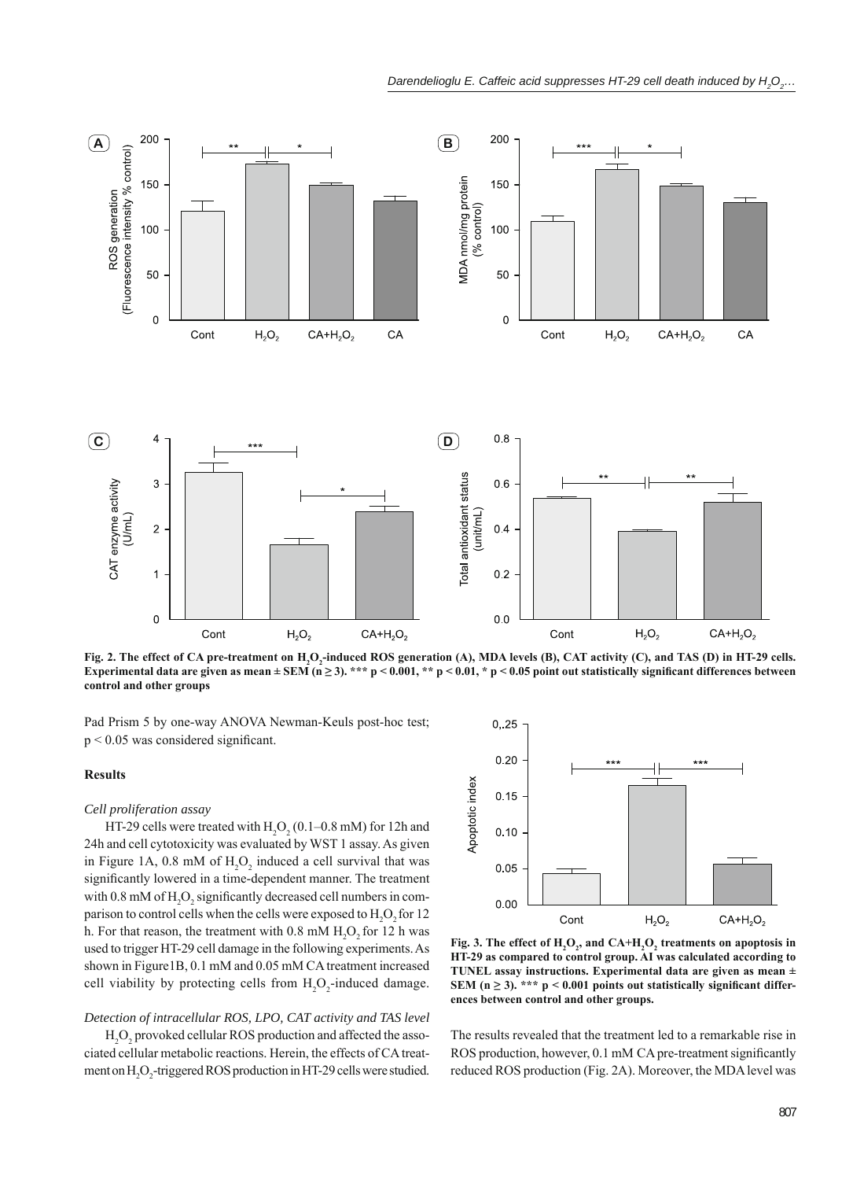

Fig. 2. The effect of CA pre-treatment on H<sub>2</sub>O<sub>2</sub>-induced ROS generation (A), MDA levels (B), CAT activity (C), and TAS (D) in HT-29 cells. Experimental data are given as mean  $\pm$  SEM (n  $\geq$  3). \*\*\* p < 0.001, \*\* p < 0.01, \* p < 0.05 point out statistically significant differences between **control and other groups**

Pad Prism 5 by one-way ANOVA Newman-Keuls post-hoc test;  $p < 0.05$  was considered significant.

#### **Results**

#### *Cell proliferation assay*

HT-29 cells were treated with  $H_2O_2(0.1-0.8 \text{ mM})$  for 12h and 24h and cell cytotoxicity was evaluated by WST 1 assay. As given in Figure 1A,  $0.8 \text{ mM of } H_2O_2$  induced a cell survival that was significantly lowered in a time-dependent manner. The treatment with 0.8 mM of  $H_2O_2$  significantly decreased cell numbers in comparison to control cells when the cells were exposed to  $H_2O_2$  for 12 h. For that reason, the treatment with  $0.8 \text{ mM } H_2O_2$  for 12 h was used to trigger HT-29 cell damage in the following experiments. As shown in Figure1B, 0.1 mM and 0.05 mM CA treatment increased cell viability by protecting cells from  $H_2O_2$ -induced damage.

# *Detection of intracellular ROS, LPO, CAT activity and TAS level*

H<sub>2</sub>O<sub>2</sub> provoked cellular ROS production and affected the associated cellular metabolic reactions. Herein, the effects of CA treatment on H<sub>2</sub>O<sub>2</sub>-triggered ROS production in HT-29 cells were studied.



Fig. 3. The effect of  $H_2O_2$ , and  $CA+H_2O_2$  treatments on apoptosis in **HT-29 as compared to control group. AI was calculated according to TUNEL assay instructions. Experimental data are given as mean ± SEM** ( $n \ge 3$ ). \*\*\*  $p < 0.001$  points out statistically significant differ**ences between control and other groups.**

The results revealed that the treatment led to a remarkable rise in ROS production, however, 0.1 mM CA pre-treatment significantly reduced ROS production (Fig. 2A). Moreover, the MDA level was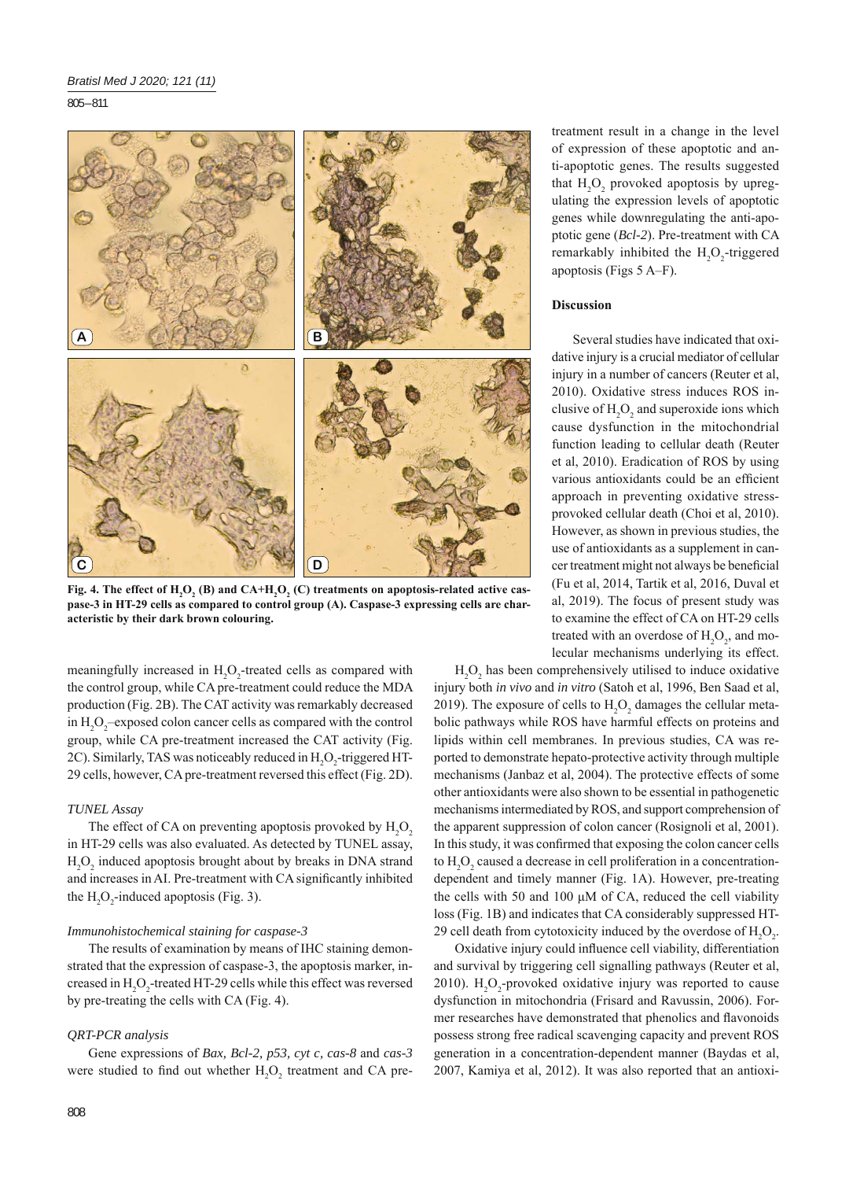805 – 811



Fig. 4. The effect of  $\text{H}_{\text{2}}\text{O}_{\text{2}}$  (B) and CA+ $\text{H}_{\text{2}}\text{O}_{\text{2}}$  (C) treatments on apoptosis-related active cas**pase-3 in HT-29 cells as compared to control group (A). Caspase-3 expressing cells are characteristic by their dark brown colouring.**

meaningfully increased in  $H_2O_2$ -treated cells as compared with the control group, while CA pre-treatment could reduce the MDA production (Fig. 2B). The CAT activity was remarkably decreased in  $H_2O_2$ -exposed colon cancer cells as compared with the control group, while CA pre-treatment increased the CAT activity (Fig. 2C). Similarly, TAS was noticeably reduced in  $H_2O_2$ -triggered HT-29 cells, however, CA pre-treatment reversed this effect (Fig. 2D).

#### *TUNEL Assay*

The effect of CA on preventing apoptosis provoked by  $H_2O_2$ in HT-29 cells was also evaluated. As detected by TUNEL assay,  $H_2O_2$  induced apoptosis brought about by breaks in DNA strand and increases in AI. Pre-treatment with CA significantly inhibited the  $H_2O_2$ -induced apoptosis (Fig. 3).

### *Immunohistochemical staining for caspase-3*

The results of examination by means of IHC staining demonstrated that the expression of caspase-3, the apoptosis marker, increased in  $H_2O_2$ -treated HT-29 cells while this effect was reversed by pre-treating the cells with CA (Fig. 4).

# *QRT-PCR analysis*

Gene expressions of *Bax, Bcl-2, p53, cyt c, cas-8* and *cas-3* were studied to find out whether  $H_2O_2$  treatment and CA pretreatment result in a change in the level of expression of these apoptotic and anti-apoptotic genes. The results suggested that  $H_2O_2$  provoked apoptosis by upregulating the expression levels of apoptotic genes while downregulating the anti-apoptotic gene (*Bcl-2*). Pre-treatment with CA remarkably inhibited the  $H_2O_2$ -triggered apoptosis (Figs  $5$  A–F).

## **Discussion**

Several studies have indicated that oxidative injury is a crucial mediator of cellular injury in a number of cancers (Reuter et al, 2010). Oxidative stress induces ROS inclusive of  $H_2O_2$  and superoxide ions which cause dysfunction in the mitochondrial function leading to cellular death (Reuter et al, 2010). Eradication of ROS by using various antioxidants could be an efficient approach in preventing oxidative stressprovoked cellular death (Choi et al, 2010). However, as shown in previous studies, the use of antioxidants as a supplement in cancer treatment might not always be beneficial (Fu et al, 2014, Tartik et al, 2016, Duval et al, 2019). The focus of present study was to examine the effect of CA on HT-29 cells treated with an overdose of  $H_2O_2$ , and molecular mechanisms underlying its effect.

 $H_2O_2$  has been comprehensively utilised to induce oxidative injury both *in vivo* and *in vitro* (Satoh et al, 1996, Ben Saad et al, 2019). The exposure of cells to  $H_2O_2$  damages the cellular metabolic pathways while ROS have harmful effects on proteins and lipids within cell membranes. In previous studies, CA was reported to demonstrate hepato-protective activity through multiple mechanisms (Janbaz et al, 2004). The protective effects of some other antioxidants were also shown to be essential in pathogenetic mechanisms intermediated by ROS, and support comprehension of the apparent suppression of colon cancer (Rosignoli et al, 2001). In this study, it was confirmed that exposing the colon cancer cells to  $H_2O_2$  caused a decrease in cell proliferation in a concentrationdependent and timely manner (Fig. 1A). However, pre-treating the cells with 50 and 100 μM of CA, reduced the cell viability loss (Fig. 1B) and indicates that CA considerably suppressed HT-29 cell death from cytotoxicity induced by the overdose of  $H_2O_2$ .

Oxidative injury could influence cell viability, differentiation and survival by triggering cell signalling pathways (Reuter et al, 2010).  $H_2O_2$ -provoked oxidative injury was reported to cause dysfunction in mitochondria (Frisard and Ravussin, 2006). Former researches have demonstrated that phenolics and flavonoids possess strong free radical scavenging capacity and prevent ROS generation in a concentration-dependent manner (Baydas et al, 2007, Kamiya et al, 2012). It was also reported that an antioxi-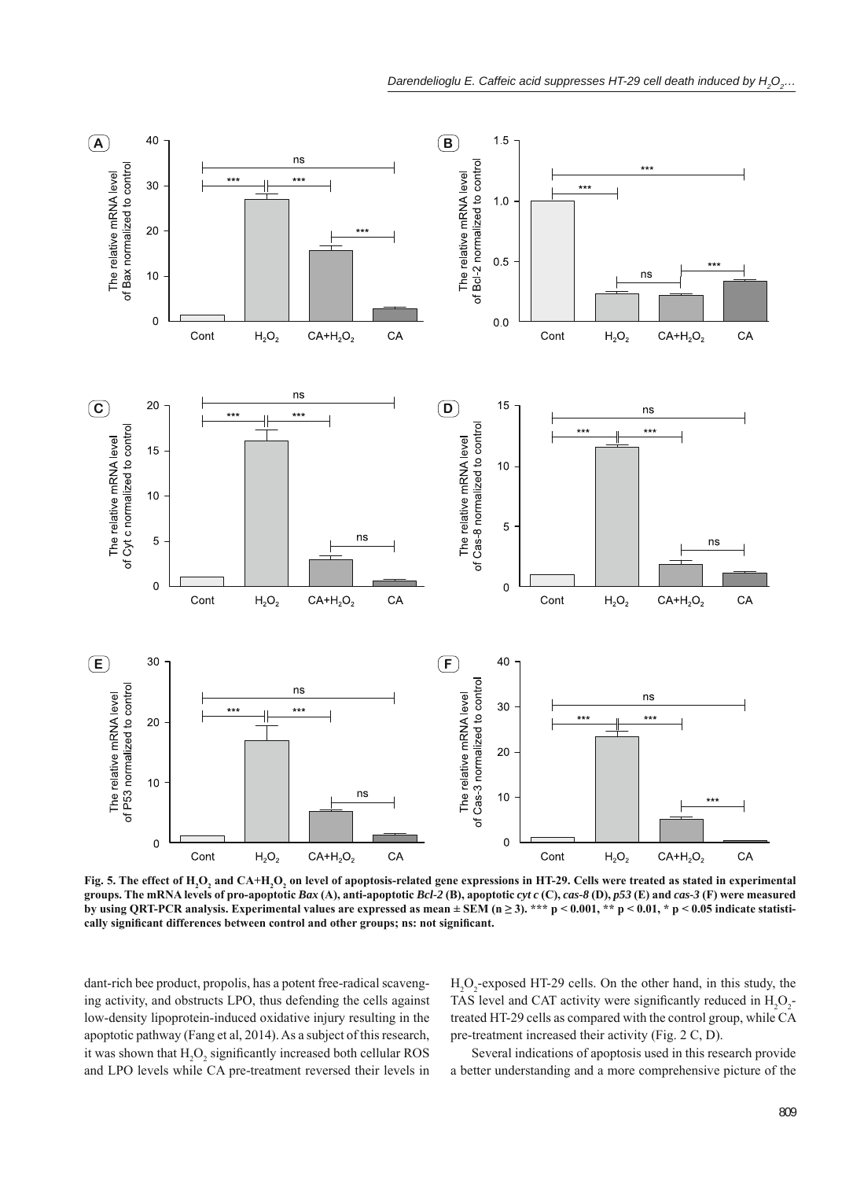

Fig. 5. The effect of H<sub>2</sub>O<sub>2</sub> and CA+H<sub>2</sub>O<sub>2</sub> on level of apoptosis-related gene expressions in HT-29. Cells were treated as stated in experimental groups. The mRNA levels of pro-apoptotic Bax (A), anti-apoptotic Bcl-2 (B), apoptotic cyt c (C), cas-8 (D), p53 (E) and cas-3 (F) were measured by using QRT-PCR analysis. Experimental values are expressed as mean  $\pm$  SEM (n  $\geq$  3). \*\*\* p < 0.001, \*\* p < 0.01, \* p < 0.05 indicate statistically significant differences between control and other groups; ns: not significant.

dant-rich bee product, propolis, has a potent free-radical scavenging activity, and obstructs LPO, thus defending the cells against low-density lipoprotein-induced oxidative injury resulting in the apoptotic pathway (Fang et al, 2014). As a subject of this research, it was shown that  $H_2O_2$  significantly increased both cellular ROS and LPO levels while CA pre-treatment reversed their levels in

H2 O2 -exposed HT-29 cells. On the other hand, in this study, the TAS level and CAT activity were significantly reduced in  $H_2O_2$ . treated HT-29 cells as compared with the control group, while CA pre-treatment increased their activity (Fig. 2 C, D).

Several indications of apoptosis used in this research provide a better understanding and a more comprehensive picture of the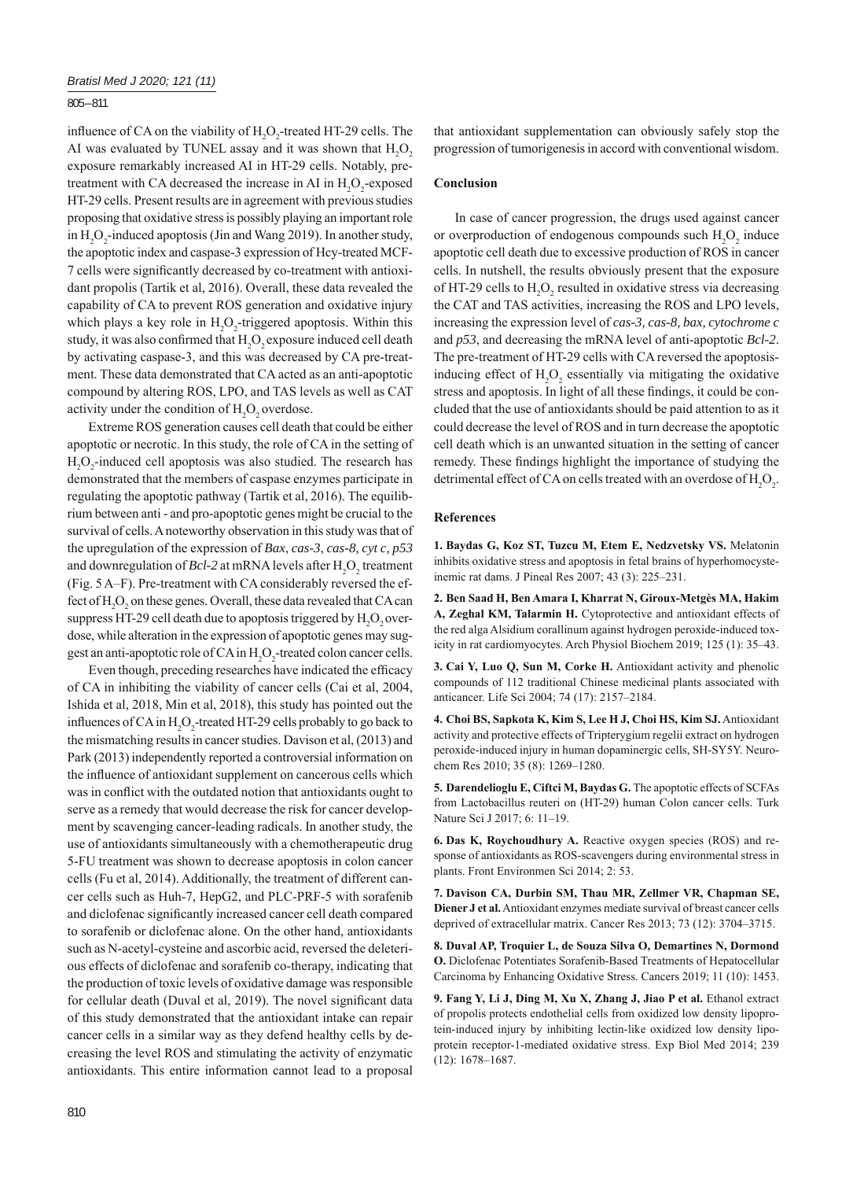## 805 – 811

influence of CA on the viability of  $H_2O_2$ -treated HT-29 cells. The AI was evaluated by TUNEL assay and it was shown that  $H_2O_2$ exposure remarkably increased AI in HT-29 cells. Notably, pretreatment with CA decreased the increase in AI in  $H_2O_2$ -exposed HT-29 cells. Present results are in agreement with previous studies proposing that oxidative stress is possibly playing an important role in  $H_2O_2$ -induced apoptosis (Jin and Wang 2019). In another study, the apoptotic index and caspase-3 expression of Hcy-treated MCF-7 cells were significantly decreased by co-treatment with antioxidant propolis (Tartik et al, 2016). Overall, these data revealed the capability of CA to prevent ROS generation and oxidative injury which plays a key role in  $H_2O_2$ -triggered apoptosis. Within this study, it was also confirmed that  $H_2O_2$  exposure induced cell death by activating caspase-3, and this was decreased by CA pre-treatment. These data demonstrated that CA acted as an anti-apoptotic compound by altering ROS, LPO, and TAS levels as well as CAT activity under the condition of  $H_2O_2$  overdose.

Extreme ROS generation causes cell death that could be either apoptotic or necrotic. In this study, the role of CA in the setting of  $H_2O_2$ -induced cell apoptosis was also studied. The research has demonstrated that the members of caspase enzymes participate in regulating the apoptotic pathway (Tartik et al, 2016). The equilibrium between anti - and pro-apoptotic genes might be crucial to the survival of cells. A noteworthy observation in this study was that of the upregulation of the expression of *Bax*, *cas-3*, *cas-8, cyt c, p53* and downregulation of *Bcl*-2 at mRNA levels after  $H_2O_2$  treatment (Fig. 5 A–F). Pre-treatment with CA considerably reversed the effect of  $H_2O_2$  on these genes. Overall, these data revealed that CA can suppress HT-29 cell death due to apoptosis triggered by  $H_2O_2$  overdose, while alteration in the expression of apoptotic genes may suggest an anti-apoptotic role of CA in  $H_2O_2$ -treated colon cancer cells.

Even though, preceding researches have indicated the efficacy of CA in inhibiting the viability of cancer cells (Cai et al, 2004, Ishida et al, 2018, Min et al, 2018), this study has pointed out the influences of CA in  $H_2O_2$ -treated HT-29 cells probably to go back to the mismatching results in cancer studies. Davison et al, (2013) and Park (2013) independently reported a controversial information on the influence of antioxidant supplement on cancerous cells which was in conflict with the outdated notion that antioxidants ought to serve as a remedy that would decrease the risk for cancer development by scavenging cancer-leading radicals. In another study, the use of antioxidants simultaneously with a chemotherapeutic drug 5-FU treatment was shown to decrease apoptosis in colon cancer cells (Fu et al, 2014). Additionally, the treatment of different cancer cells such as Huh-7, HepG2, and PLC-PRF-5 with sorafenib and diclofenac significantly increased cancer cell death compared to sorafenib or diclofenac alone. On the other hand, antioxidants such as N-acetyl-cysteine and ascorbic acid, reversed the deleterious effects of diclofenac and sorafenib co-therapy, indicating that the production of toxic levels of oxidative damage was responsible for cellular death (Duval et al, 2019). The novel significant data of this study demonstrated that the antioxidant intake can repair cancer cells in a similar way as they defend healthy cells by decreasing the level ROS and stimulating the activity of enzymatic antioxidants. This entire information cannot lead to a proposal

that antioxidant supplementation can obviously safely stop the progression of tumorigenesis in accord with conventional wisdom.

## **Conclusion**

In case of cancer progression, the drugs used against cancer or overproduction of endogenous compounds such  $H_2O_2$  induce apoptotic cell death due to excessive production of ROS in cancer cells. In nutshell, the results obviously present that the exposure of HT-29 cells to  $H_2O_2$  resulted in oxidative stress via decreasing the CAT and TAS activities, increasing the ROS and LPO levels, increasing the expression level of *cas-3, cas-8, bax, cytochrome c* and *p53*, and decreasing the mRNA level of anti-apoptotic *Bcl-2*. The pre-treatment of HT-29 cells with CA reversed the apoptosisinducing effect of  $H_2O_2$  essentially via mitigating the oxidative stress and apoptosis. In light of all these findings, it could be concluded that the use of antioxidants should be paid attention to as it could decrease the level of ROS and in turn decrease the apoptotic cell death which is an unwanted situation in the setting of cancer remedy. These findings highlight the importance of studying the detrimental effect of CA on cells treated with an overdose of  $H_2O_2$ .

# **References**

**1. Baydas G, Koz ST, Tuzcu M, Etem E, Nedzvetsky VS.** Melatonin inhibits oxidative stress and apoptosis in fetal brains of hyperhomocysteinemic rat dams. J Pineal Res 2007; 43 (3): 225-231.

**2. Ben Saad H, Ben Amara I, Kharrat N, Giroux-Metgès MA, Hakim A, Zeghal KM, Talarmin H.** Cytoprotective and antioxidant effects of the red alga Alsidium corallinum against hydrogen peroxide-induced toxicity in rat cardiomyocytes. Arch Physiol Biochem 2019; 125 (1): 35-43.

**3. Cai Y, Luo Q, Sun M, Corke H.** Antioxidant activity and phenolic compounds of 112 traditional Chinese medicinal plants associated with anticancer. Life Sci 2004; 74 (17): 2157‒2184.

**4. Choi BS, Sapkota K, Kim S, Lee H J, Choi HS, Kim SJ.** Antioxidant activity and protective effects of Tripterygium regelii extract on hydrogen peroxide-induced injury in human dopaminergic cells, SH-SY5Y. Neurochem Res 2010; 35 (8): 1269‒1280.

**5. Darendelioglu E, Ciftci M, Baydas G.** The apoptotic effects of SCFAs from Lactobacillus reuteri on (HT-29) human Colon cancer cells. Turk Nature Sci J 2017; 6: 11-19.

**6. Das K, Roychoudhury A.** Reactive oxygen species (ROS) and response of antioxidants as ROS-scavengers during environmental stress in plants. Front Environmen Sci 2014; 2: 53.

**7. Davison CA, Durbin SM, Thau MR, Zellmer VR, Chapman SE, Diener J et al.** Antioxidant enzymes mediate survival of breast cancer cells deprived of extracellular matrix. Cancer Res 2013; 73 (12): 3704‒3715.

**8. Duval AP, Troquier L, de Souza Silva O, Demartines N, Dormond O.** Diclofenac Potentiates Sorafenib-Based Treatments of Hepatocellular Carcinoma by Enhancing Oxidative Stress. Cancers 2019; 11 (10): 1453.

**9. Fang Y, Li J, Ding M, Xu X, Zhang J, Jiao P et al.** Ethanol extract of propolis protects endothelial cells from oxidized low density lipoprotein-induced injury by inhibiting lectin-like oxidized low density lipoprotein receptor-1-mediated oxidative stress. Exp Biol Med 2014; 239 (12): 1678‒1687.